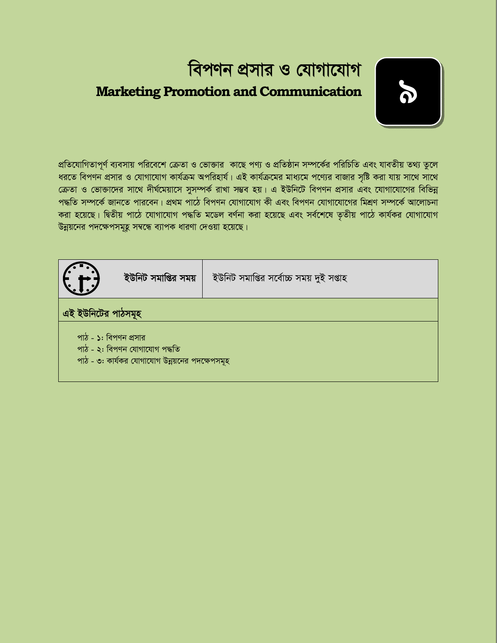# বিপণন প্রসার ও যোগাযোগ **Marketing Promotion and Communication**



প্রতিযোগিতাপূর্ণ ব্যবসায় পরিবেশে ক্রেতা ও ভোক্তার কাছে পণ্য ও প্রতিষ্ঠান সম্পর্কের পরিচিতি এবং যাবতীয় তথ্য তুলে ধরতে বিপণন প্রসার ও যোগাযোগ কার্যক্রম অপরিহার্য। এই কার্যক্রমের মাধ্যমে পণ্যের বাজার সৃষ্টি করা যায় সাথে সাথে ক্রেতা ও ভোক্তাদের সাথে দীর্ঘমেয়াসে সুসম্পর্ক রাখা সম্ভব হয়। এ ইউনিটে বিপণন প্রসার এবং যোগাযোগের বিভিন্ন পদ্ধতি সম্পর্কে জানতে পারবেন। প্রথম পাঠে বিপণন যোগাযোগ কী এবং বিপণন যোগাযোগের মিশ্রণ সম্পর্কে আলোচনা করা হয়েছে। দ্বিতীয় পাঠে যোগাযোগ পদ্ধতি মডেল বর্ণনা করা হয়েছে এবং সর্বশেষে তৃতীয় পাঠে কার্যকর যোগাযোগ উন্নয়নের পদক্ষেপসমূহ সম্বন্ধে ব্যাপক ধারণা দেওয়া হয়েছে।

|                                                                                                          | ইউনিট সমাপ্তির সময় | ইউনিট সমাপ্তির সর্বোচ্চ সময় দুই সপ্তাহ |  |  |  |  |  |
|----------------------------------------------------------------------------------------------------------|---------------------|-----------------------------------------|--|--|--|--|--|
| এই ইউনিটের পাঠসমূহ                                                                                       |                     |                                         |  |  |  |  |  |
| পাঠ - ১: বিপণন প্রসার<br>পাঠ - ২: বিপণন যোগাযোগ পদ্ধতি<br>পাঠ - ৩: কার্যকর যোগাযোগ উন্নয়নের পদক্ষেপসমূহ |                     |                                         |  |  |  |  |  |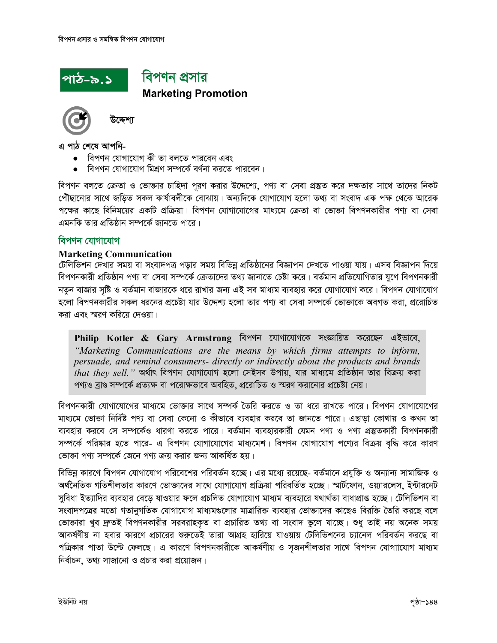

### বিপণন প্ৰসার **Marketing Promotion**



টক্লো

এ পাঠ শেষে আপনি-

- বিপণন যোগাযোগ কী তা বলতে পারবেন এবং
- বিপণন যোগাযোগ মিশ্রণ সম্পর্কে বর্ণনা করতে পারবেন।

বিপণন বলতে ক্রেতা ও ভোক্তার চাহিদা পূরণ করার উদ্দেশ্যে, পণ্য বা সেবা প্রস্তুত করে দক্ষতার সাথে তাদের নিকট পৌছানোর সাথে জড়িত সকল কার্যাবলীকে বোঝায়। অন্যদিকে যোগাযোগ হলো তথ্য বা সংবাদ এক পক্ষ থেকে আরেক পক্ষের কাছে বিনিময়ের একটি প্রক্রিয়া। বিপণন যোগাযোগের মাধ্যমে ক্রেতা বা ভোজা বিপণনকারীর পণ্য বা সেবা এমনকি তার প্রতিষ্ঠান সম্পর্কে জানতে পারে।

#### বিপণন যোগাযোগ

#### **Marketing Communication**

টেলিভিশন দেখার সময় বা সংবাদপত্র পড়ার সময় বিভিন্ন প্রতিষ্ঠানের বিজ্ঞাপন দেখতে পাওয়া যায়। এসব বিজ্ঞাপন দিয়ে বিপণনকারী প্রতিষ্ঠান পণ্য বা সেবা সম্পর্কে ক্রেতাদের তথ্য জানাতে চেষ্টা করে। বর্তমান প্রতিযোগিতার যুগে বিপণনকারী নতুন বাজার সৃষ্টি ও বর্তমান বাজারকে ধরে রাখার জন্য এই সব মাধ্যম ব্যবহার করে যোগাযোগ করে। বিপণন যোগাযোগ হলো বিপণনকারীর সকল ধরনের প্রচেষ্টা যার উদ্দেশ্য হলো তার পণ্য বা সেবা সম্পর্কে ভোক্তাকে অবগত করা, প্ররোচিত করা এবং স্মরণ করিয়ে দেওয়া।

Philip Kotler & Gary Armstrong বিপণন যোগাযোগকে সংজ্ঞায়িত করেছেন এইভাবে, "Marketing Communications are the means by which firms attempts to inform, persuade, and remind consumers- directly or indirectly about the products and brands that they sell." অর্থাৎ বিপণন যোগাযোগ হলো সেইসব উপায়, যার মাধ্যমে প্রতিষ্ঠান তার বিক্রয় করা পণ্যও ব্রাণ্ড সম্পর্কে প্রত্যক্ষ বা পরোক্ষভাবে অবহিত, প্ররোচিত ও স্মরণ করানোর প্রচেষ্টা নেয়।

বিপণনকারী যোগাযোগের মাধ্যমে ভোক্তার সাথে সম্পর্ক তৈরি করতে ও তা ধরে রাখতে পারে। বিপণন যোগাযোগের মাধ্যমে ভোক্তা নির্দিষ্ট পণ্য বা সেবা কেনো ও কীভাবে ব্যবহার করবে তা জানতে পারে। এছাড়া কোথায় ও কখন তা ব্যবহার করবে সে সম্পর্কেও ধারণা করতে পারে। বর্তমান ব্যবহারকারী যেমন পণ্য ও পণ্য প্রস্তুতকারী বিপণনকারী সম্পর্কে পরিষ্কার হতে পারে- এ বিপণন যোগাযোগের মাধ্যমেশ। বিপণন যোগাযোগ পণ্যের বিক্রয় বদ্ধি করে কারণ ভোক্তা পণ্য সম্পর্কে জেনে পণ্য ক্রয় করার জন্য আকর্ষিত হয়।

বিভিন্ন কারণে বিপণন যোগাযোগ পরিবেশের পরিবর্তন হচ্ছে। এর মধ্যে রয়েছে- বর্তমানে প্রযুক্তি ও অন্যান্য সামাজিক ও অর্থনৈতিক গতিশীলতার কারণে ভোক্তাদের সাথে যোগাযোগ প্রক্রিয়া পরিবর্তিত হচ্ছে। স্মার্টফোন, ওয়্যারলেস, ইন্টারনেট সুবিধা ইত্যাদির ব্যবহার বেড়ে যাওয়ার ফলে প্রচলিত যোগাযোগ মাধ্যম ব্যবহারে যথার্থতা বাধাপ্রাপ্ত হচ্ছে। টেলিভিশন বা সংবাদপত্রের মতো গতানুগতিক যোগাযোগ মাধ্যমগুলোর মাত্রারিক্ত ব্যবহার ভোক্তাদের কাছেও বিরক্তি তৈরি করছে বলে ভোক্তারা খুব দ্রুতই বিপণনকারীর সরবরাহকৃত বা প্রচারিত তথ্য বা সংবাদ ভুলে যাচ্ছে। শুধু তাই নয় অনেক সময় আকর্ষণীয় না হবার কারণে প্রচারের শুরুতেই তারা আগ্রহ হারিয়ে যাওয়ায় টেলিভিশনের চ্যানেল পরিবর্তন করছে বা পত্রিকার পাতা উল্টে ফেলছে। এ কারণে বিপণনকারীকে আকর্ষণীয় ও সজনশীলতার সাথে বিপণন যোগাাযোগ মাধ্যম নির্বাচন, তথ্য সাজানো ও প্রচার করা প্রয়োজন।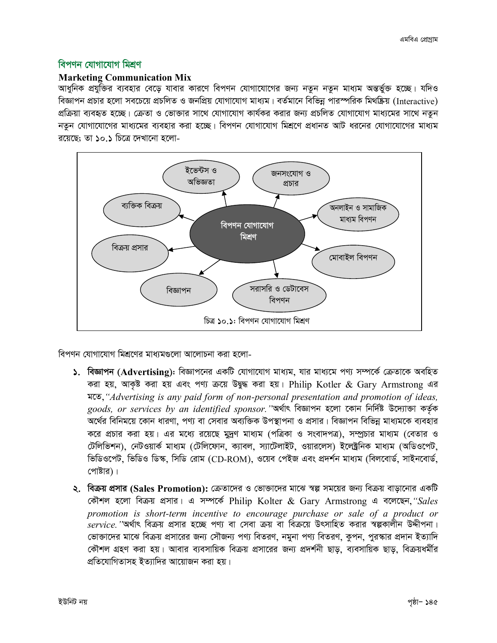#### বিপণন যোগাযোগ মিশ্রণ

#### **Marketing Communication Mix**

আধুনিক প্রযুক্তির ব্যবহার বেড়ে যাবার কারণে বিপণন যোগাযোগের জন্য নতুন নতুন মাধ্যম অন্তর্ভুক্ত হচ্ছে। যদিও বিজ্ঞাপন প্রচার হলো সবচেয়ে প্রচলিত ও জনপ্রিয় যোগাযোগ মাধ্যম। বর্তমানে বিভিন্ন পারস্পরিক মিথষ্ক্রিয় (Interactive) প্রক্রিয়া ব্যবহৃত হচ্ছে। ক্রেতা ও ভোক্তার সাথে যোগাযোগ কার্যকর করার জন্য প্রচলিত যোগাযোগ মাধ্যমের সাথে নতন নতুন যোগাযোগের মাধ্যমের ব্যবহার করা হচ্ছে। বিপণন যোগাযোগ মিশ্রণে প্রধানত আট ধরনের যোগাযোগের মাধ্যম রয়েছে: তা ১০.১ চিত্রে দেখানো হলো-



বিপণন যোগাযোগ মিশ্রণের মাধ্যমগুলো আলোচনা করা হলো-

- ১. বিজ্ঞাপন (Advertising): বিজ্ঞাপনের একটি যোগাযোগ মাধ্যম, যার মাধ্যমে পণ্য সম্পর্কে ক্রেতাকে অবহিত করা হয়. আকষ্ট করা হয় এবং পণ্য ক্রয়ে উদ্বুদ্ধ করা হয়। Philip Kotler & Gary Armstrong এর মতে, "Advertising is any paid form of non-personal presentation and promotion of ideas, goods, or services by an identified sponsor. "অৰ্থাৎ বিজ্ঞাপন হলো কোন নিৰ্দিষ্ট উদ্যোক্তা কৰ্তৃক অর্থের বিনিময়ে কোন ধারণা, পণ্য বা সেবার অব্যক্তিক উপস্থাপনা ও প্রসার। বিজ্ঞাপন বিভিন্ন মাধ্যমকে ব্যবহার করে প্রচার করা হয়। এর মধ্যে রয়েছে মুদ্রণ মাধ্যম (পত্রিকা ও সংবাদপত্র), সম্প্রচার মাধ্যম (বেতার ও টেলিভিশন), নেটওয়ার্ক মাধ্যম (টেলিফোন, ক্যাবল, স্যাটেলাইট, ওয়ারলেস) ইলেক্ট্রনিক মাধ্যম (অডিওপেট, ভিডিওপেট, ভিডিও ডিস্ক, সিডি রোম (CD-ROM), ওয়েব পেইজ এবং প্রদর্শন মাধ্যম (বিলবোর্ড, সাইনবোর্ড, পোষ্টার)।
- ২. বিক্রয় প্রসার (Sales Promotion): ক্রেতাদের ও ভোক্তাদের মাঝে স্বল্প সময়ের জন্য বিক্রয় বাড়ানোর একটি কৌশল হলো বিক্রয় প্রসার। এ সম্পর্কে Philip Kolter & Gary Armstrong এ বলেছেন, "Sales promotion is short-term incentive to encourage purchase or sale of a product or service. "অর্থাৎ বিক্রয় প্রসার হচ্ছে পণ্য বা সেবা ক্রয় বা বিক্রয়ে উৎসাহিত করার স্বল্পকালীন উদ্দীপনা। ভোক্তাদের মাঝে বিক্রয় প্রসারের জন্য সৌজন্য পণ্য বিতরণ, নমুনা পণ্য বিতরণ, কুপন, পুরস্কার প্রদান ইত্যাদি কৌশল গ্রহণ করা হয়। আবার ব্যবসায়িক বিক্রয় প্রসারের জন্য প্রদর্শনী ছাড়, ব্যবসায়িক ছাড়, বিক্রয়ধর্মীর প্রতিযোগিতাসহ ইত্যাদির আয়োজন করা হয়।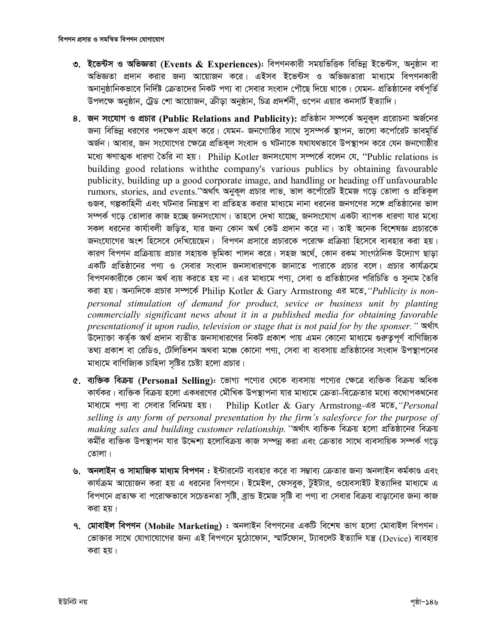- ৩. ইভেন্টস ও অভিজ্ঞতা (Events & Experiences): বিপণনকারী সময়ভিত্তিক বিভিন্ন ইভেন্টস, অনুষ্ঠান বা অভিজ্ঞতা প্রদান করার জন্য আয়োজন করে। এইসব ইভেন্টস ও অভিজ্ঞতারা মাধ্যমে বিপণনকারী অনানুষ্ঠানিকভাবে নির্দিষ্ট ক্রেতাদের নিকট পণ্য বা সেবার সংবাদ পৌছে দিয়ে থাকে। যেমন- প্রতিষ্ঠানের বর্ষপূর্তি উপলক্ষে অনুষ্ঠান, ট্রেড শো আয়োজন, ক্রীড়া অনুষ্ঠান, চিত্র প্রদর্শনী, ওপেন এয়ার কনসার্ট ইত্যাদি।
- ৪. জন সংযোগ ও প্রচার (Public Relations and Publicity): প্রতিষ্ঠান সম্পর্কে অনুকূল প্ররোচনা অর্জনের জন্য বিভিন্ন ধরণের পদক্ষেপ গ্রহণ করে। যেমন- জনগোষ্ঠির সাথে সুসম্পর্ক স্থাপন, ভালো কর্পোরেট ভাবমূর্তি অর্জন। আবার, জন সংযোগের ক্ষেত্রে প্রতিকল সংবাদ ও ঘটনাকে যথাযথভাবে উপস্থাপন করে যেন জনগোষ্ঠীর মধ্যে ঋণাত্মক ধারণা তৈরি না হয়। Philip Kotler জনসংযোগ সম্পর্কে বলেন যে, "Public relations is building good relations with the company's various publics by obtaining favourable publicity, building up a good corporate image, and handling or heading off unfavourable rumors, stories, and events."অৰ্থাৎ অনুকূল প্ৰচার লাভ, ভাল কৰ্পোৱেট ইমেজ গড়ে তোলা ও প্ৰতিকূল গুজব, গল্পকাহিনী এবং ঘটনার নিয়ন্ত্রণ বা প্রতিহত করার মাধ্যমে নানা ধরনের জনগণের সঙ্গে প্রতিষ্ঠানের ভাল সম্পৰ্ক গড়ে তোলার কাজ হচ্ছে জনসংযোগ। তাহলে দেখা যাচ্ছে, জনসংযোগ একটা ব্যাপক ধারণা যার মধ্যে সকল ধরনের কার্যাবলী জডিত, যার জন্য কোন অর্থ কেউ প্রদান করে না। তাই অনেক বিশেষজ্ঞ প্রচারকে জনংযোগের অংশ হিসেবে দেখিয়েছেন। বিপণন প্রসারে প্রচারকে পরোক্ষ প্রক্রিয়া হিসেবে ব্যবহার করা হয়। কারণ বিপণন প্রক্রিয়ায় প্রচার সহায়ক ভূমিকা পালন করে। সহজ অর্থে, কোন রকম সাংগঠনিক উদ্যোগ ছাড়া একটি প্রতিষ্ঠানের পণ্য ও সেবার সংবাদ জনসাধারণকে জানাতে পারাকে প্রচার বলে। প্রচার কার্যক্রমে বিপণনকারীকে কোন অর্থ ব্যয় করতে হয় না। এর মাধ্যমে পণ্য, সেবা ও প্রতিষ্ঠানের পরিচিতি ও সুনাম তৈরি করা হয়। অন্যদিকে প্রচার সম্পর্কে Philip Kotler & Gary Armstrong এর মতে, "Publicity is nonpersonal stimulation of demand for product, sevice or business unit by planting commercially significant news about it in a published media for obtaining favorable presentationof it upon radio, television or stage that is not paid for by the sponser." উদ্যোক্তা কর্তৃক অর্থ প্রদান ব্যতীত জনসাধারণের নিকট প্রকাশ পায় এমন কোনো মাধ্যমে গুরুতুপূর্ণ বাণিজ্যিক তথ্য প্রকাশ বা রেডিও, টেলিভিশন অথবা মঞ্চে কোনো পণ্য, সেবা বা ব্যবসায় প্রতিষ্ঠানের সংবাদ উপস্থাপনের মাধ্যমে বাণিজ্যিক চাহিদা সষ্টির চেষ্টা হলো প্রচার।
- ৫. ব্যক্তিক বিক্রয় (Personal Selling): ভোগ্য পণ্যের থেকে ব্যবসায় পণ্যের ক্ষেত্রে ব্যক্তিক বিক্রয় অধিক কার্যকর। ব্যক্তিক বিক্রয় হলো একধরণের মৌখিক উপস্থাপনা যার মাধ্যমে ক্রেতা-বিক্রেতার মধ্যে কথোপকথনের মাধ্যমে পণ্য বা সেবার বিনিময় হয়। Philip Kotler & Gary Armstrong-এর মতে, "Personal selling is any form of personal presentation by the firm's salesforce for the purpose of making sales and building customer relationship. "অর্থাৎ ব্যক্তিক বিক্রয় হলো প্রতিষ্ঠানের বিক্রয় কর্মীর ব্যক্তিক উপস্থাপন যার উদ্দেশ্য হলোবিক্রয় কাজ সম্পন্ন করা এবং ক্রেতার সাথে ব্যবসায়িক সম্পর্ক গড়ে তোলা।
- ৬. অনলাইন ও সামাজিক মাধ্যম বিপণন : ইন্টারনেট ব্যবহার করে বা সম্ভাব্য ক্রেতার জন্য অনলাইন কর্মকাণ্ড এবং কার্যক্রম আয়োজন করা হয় এ ধরনের বিপণনে। ইমেইল, ফেসবুক, টুইটার, ওয়েবসাইট ইত্যাদির মাধ্যমে এ বিপণনে প্রত্যক্ষ বা পরোক্ষভাবে সচেতনতা সৃষ্টি, ব্রান্ড ইমেজ সৃষ্টি বা পণ্য বা সেবার বিক্রয় বাড়ানোর জন্য কাজ করা হয়।
- ৭. মোবাইল বিপণন (Mobile Marketing) : অনলাইন বিপণনের একটি বিশেষ ভাগ হলো মোবাইল বিপণন। ভোক্তার সাথে যোগাযোগের জন্য এই বিপণনে মঠোফোন, স্মার্টফোন, ট্যাবলেট ইত্যাদি যন্ত্র (Device) ব্যবহার করা হয়।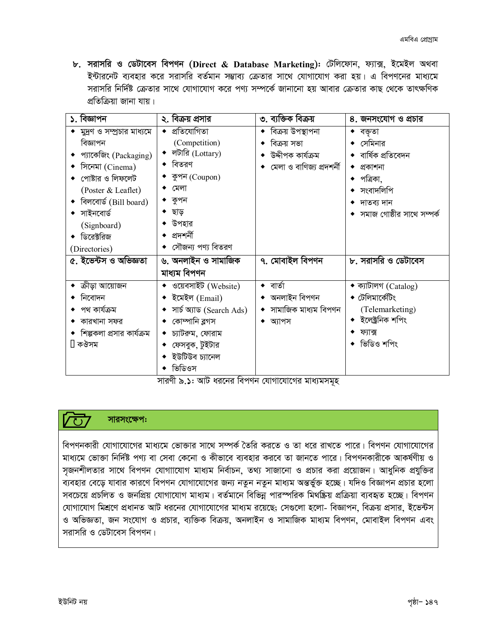$\mathbf{b}$ . সরাসরি ও ডেটাবেস বিপণন (Direct & Database Marketing): টেলিফোন, ফ্যাক্স, ইমেইল অথবা ইন্টারনেট ব্যবহার করে সরাসরি বর্তমান সম্ভাব্য ক্রেতার সাথে যোগাযোগ করা হয়। এ বিপণনের মাধ্যমে সরাসরি নির্দিষ্ট ক্রেতার সাথে যোগাযোগ করে পণ্য সম্পর্কে জানানো হয় আবার ক্রেতার কাছ থেকে তাৎক্ষণিক প্ৰতিক্ৰিয়া জানা যায়।

| ১. বিজ্ঞাপন                  | ২. বিক্রয় প্রসার             | ৩. ব্যক্তিক বিক্রয়      | ৪. জনসংযোগ ও প্রচার                 |
|------------------------------|-------------------------------|--------------------------|-------------------------------------|
| ◆ মুদ্রণ ও সম্প্রচার মাধ্যমে | $\bullet$ প্ৰতিযোগিতা         | ◆ বিক্রয় উপস্থাপনা      | ◆ বক্তা                             |
| বিজ্ঞাপন                     | (Competition)                 | বিক্রয় সভা              | $\bullet$ সেমিনার                   |
| প্যাকেজিং (Packaging)        | $\bullet$ লটারি (Lottary)     | উদ্দীপক কাৰ্যক্ৰম        | ◆  বাৰ্ষিক প্ৰতিবেদন                |
| সিনেমা (Cinema)              | ◆ বিতরণ                       | মেলা ও বাণিজ্য প্ৰদশৰ্নী | $\bullet$ প্ৰকাশনা                  |
| পোষ্টার ও লিফলেট             | ◆ কুপন (Coupon)               |                          | $\bullet$ পত্রিকা,                  |
| (Poster & Leaflet)           | মেলা                          |                          | সংবাদলিপি                           |
| বিলবোৰ্ড (Bill board)        | ◆  কুপন                       |                          | $\bullet$ দাতব্য দান                |
| সাইনবোৰ্ড                    | ◆ ছাড়                        |                          | $\bullet$ সমাজ গোষ্ঠীর সাথে সম্পর্ক |
| (Signboard)                  | ◆ উপহার                       |                          |                                     |
| ডিরেক্টরিজ                   | ◆ প্ৰদশৰ্নী                   |                          |                                     |
| (Directories)                | ◆ সৌজন্য পণ্য বিতরণ           |                          |                                     |
| ৫. ইভেন্টস ও অভিজ্ঞতা        | ৬. অনলাইন ও সামাজিক           | ৭. মোবাইল বিপণন          | ৮. সরাসরি ও ডেটাবেস                 |
|                              | মাধ্যম বিপণন                  |                          |                                     |
| ক্রীড়া আয়োজন               | $\bullet$ ওয়েবসাইট (Website) | $\bullet$ বাৰ্তা         | $\bullet$ ক্যাটালগ (Catalog)        |
| নিবোদন                       | $\bullet$ ইমেইল (Email)       | ◆ অনলাইন বিপণন           | $\bullet$ টেলিমার্কেটিং             |
| পথ কাৰ্যক্ৰম                 | ◆ সার্চ অ্যাড (Search Ads)    | • সামাজিক মাধ্যম বিপণন   | (Telemarketing)                     |
| কারখানা সফর                  | কোম্পানি ব্লগস                | $\bullet$ অ্যাপস         | ◆ ইলেক্ট্ৰনিক শপিং                  |
| শিল্পকলা প্রসার কার্যক্রম    | চ্যাটরুম, ফোরাম               |                          | ফ্যাক্স                             |
| ∏ কঔসম                       | ◆ ফেসবুক, টুইটার              |                          | ◆ ভিডিও শপিং                        |
|                              | ইউটিউব চ্যানেল                |                          |                                     |
|                              | ভিডিওস                        |                          |                                     |

সারণী ৯.১: আট ধরনের বিপণন যোগাযোগের মাধ্যমসমূহ

#### সারসংক্ষেপ:

 $\overline{C}$ 

বিপণনকারী যোগাযোগের মাধ্যমে ভোক্তার সাথে সম্পর্ক তৈরি করতে ও তা ধরে রাখতে পারে। বিপণন যোগাযোগের মাধ্যমে ভোক্তা নির্দিষ্ট পণ্য বা সেবা কেনো ও কীভাবে ব্যবহার করবে তা জানতে পারে। বিপণনকারীকে আকর্ষণীয় ও সজনশীলতার সাথে বিপণন যোগাাযোগ মাধ্যম নির্বাচন, তথ্য সাজানো ও প্রচার করা প্রয়োজন। আধুনিক প্রযুক্তির ব্যবহার বেড়ে যাবার কারণে বিপণন যোগাযোগের জন্য নতুন নতুন মাধ্যম অন্তর্ভুক্ত হচ্ছে। যদিও বিজ্ঞাপন প্রচার হলো সবচেয়ে প্রচলিত ও জনপ্রিয় যোগাযোগ মাধ্যম। বর্তমানে বিভিন্ন পারস্পরিক মিথষ্ক্রিয় প্রক্রিয়া ব্যবহৃত হচ্ছে। বিপণন যোগাযোগ মিশ্রণে প্রধানত আট ধরনের যোগাযোগের মাধ্যম রয়েছে; সেগুলো হলো- বিজ্ঞাপন, বিক্রয় প্রসার, ইন্ডেন্টস ও অভিজ্ঞতা, জন সংযোগ ও প্রচার, ব্যক্তিক বিক্রয়, অনলাইন ও সামাজিক মাধ্যম বিপণন, মোবাইল বিপণন এবং সরাসরি ও ডেটাবেস বিপণন।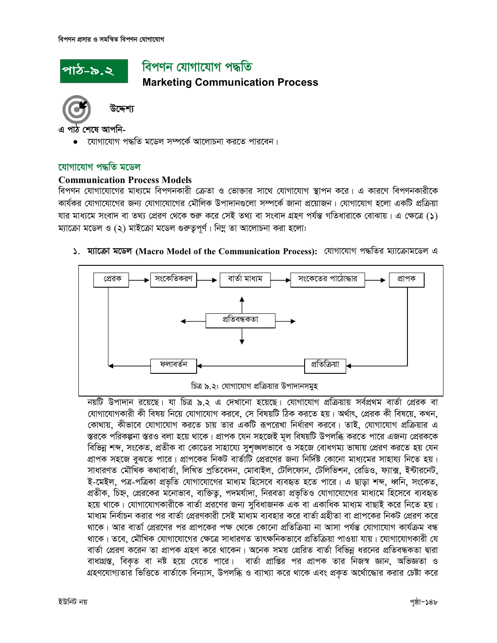# পাঠ-৯.২

# বিপণন যোগাযোগ পদ্ধতি

**Marketing Communication Process** 



উদ্দেশ্য

এ পাঠ শেষে আপনি-

• যোগাযোগ পদ্ধতি মডেল সম্পর্কে আলোচনা করতে পারবেন।

#### যোগাযোগ পদ্ধতি মডেল

#### **Communication Process Models**

বিপণন যোগাযোগের মাধ্যমে বিপণনকারী ক্রেতা ও ভোক্তার সাথে যোগাযোগ স্থাপন করে। এ কারণে বিপণনকারীকে কার্যকর যোগাযোগের জন্য যোগাযোগের মৌলিক উপাদানগুলো সম্পর্কে জানা প্রয়োজন। যোগাযোগ হলো একটি প্রক্রিয়া যার মাধ্যমে সংবাদ বা তথ্য প্রেরণ থেকে শুরু করে সেই তথ্য বা সংবাদ গ্রহণ পর্যন্ত গতিধারাকে বোঝায়। এ ক্ষেত্রে (১) ম্যাক্রো মডেল ও (২) মাইক্রো মডেল গুরুতুপূর্ণ। নিম্ন তা আলোচনা করা হলো:

#### ১. ম্যাক্রো মডেল (Macro Model of the Communication Process): যোগাযোগ পদ্ধতির ম্যাক্রোমডেল এ



নয়টি উপাদান রয়েছে। যা চিত্র ৯.২ এ দেখানো হয়েছে। যোগাযোগ প্রক্রিয়ায় সর্বপ্রথম বার্তা প্রেরক বা যোগাযোগকারী কী বিষয় নিয়ে যোগাযোগ করবে, সে বিষয়টি ঠিক করতে হয়। অর্থাৎ, প্রেরক কী বিষয়ে, কখন, কোথায়, কীভাবে যোগাযোগ করতে চায় তার একটি রূপরেখা নির্ধারণ করবে। তাই, যোগাযোগ প্রক্রিয়ার এ স্তরকে পরিকল্পনা স্তরও বলা হয়ে থাকে। প্রাপক যেন সহজেই মূল বিষয়টি উপলব্ধি করতে পারে এজন্য প্রেরককে বিভিন্ন শব্দ, সংকেত, প্রতীক বা কোডের সাহায্যে সুশঙ্খলভাবে ও সহজে বোধগম্য ভাষায় প্রেরণ করতে হয় যেন প্রাপক সহজে বুঝতে পারে। প্রাপকের নিকট বার্তাটি প্রেরণের জন্য নির্দিষ্ট কোনো মাধ্যমের সাহায্য নিতে হয়। সাধারণত মৌখিক কথাবার্তা, লিখিত প্রতিবেদন, মোবাইল, টেলিফোন, টেলিভিশন, রেডিও, ফ্যাক্স, ইন্টারনেট, ই-মেইল, পত্র-পত্রিকা প্রভৃতি যোগাযোগের মাধ্যম হিসেবে ব্যবহৃত হতে পারে। এ ছাড়া শব্দ, ধ্বনি, সংকেত, প্রতীক, চিহ্ন, প্রেরকের মনোভাব, ব্যক্তিতু, পদমর্যাদা, নিরবতা প্রভৃতিও যোগাযোগের মাধ্যমে হিসেবে ব্যবহৃত হয়ে থাকে। যোগাযোগকারীকে বার্তা প্ররণের জন্য সুবিধাজনক এক বা একাধিক মাধ্যম বাছাই করে নিতে হয়। মাধ্যম নির্বাচন করার পর বার্তা প্রেরণকারী সেই মাধ্যম ব্যবহার করে বার্তা গ্রহীতা বা প্রাপকের নিকট প্রেরণ করে থাকে। আর বার্তা প্রেরণের পর প্রাপকের পক্ষ থেকে কোনো প্রতিক্রিয়া না আসা পর্যন্ত যোগাযোগ কার্যক্রম বন্ধ থাকে। তবে, মৌখিক যোগাযোগের ক্ষেত্রে সাধারণত তাৎক্ষনিকভাবে প্রতিক্রিয়া পাওয়া যায়। যোগাযোগকারী যে বার্তা প্রেরণ করেন তা প্রাপক গ্রহণ করে থাকেন। অনেক সময় প্রেরিত বার্তা বিভিন্ন ধরনের প্রতিবন্ধকতা দ্বারা বাধাগ্রস্ত, বিকৃত বা নষ্ট হয়ে যেতে পারে। বার্তা প্রাপ্তির পর প্রাপক তার নিজস্ব জ্ঞান, অভিজ্ঞতা ও গ্রহণযোগ্যতার ভিত্তিতে বার্তাকে বিন্যাস, উপলব্ধি ও ব্যাখ্যা করে থাকে এবং প্রকৃত অর্থোন্ধোর করার চেষ্টা করে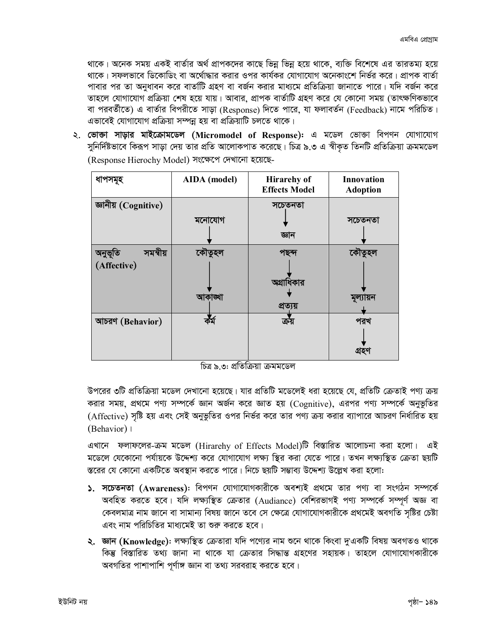থাকে। অনেক সময় একই বার্তার অর্থ প্রাপকদের কাছে ভিন্ন ভিন্ন হয়ে থাকে, ব্যক্তি বিশেষে এর তারতম্য হয়ে থাকে। সফলভাবে ডিকোডিং বা অর্থোদ্ধার করার ওপর কার্যকর যোগাযোগ অনেকাংশে নির্ভর করে। প্রাপক বার্তা পাবার পর তা অনুধাবন করে বার্তাটি গ্রহণ বা বর্জন করার মাধ্যমে প্রতিক্রিয়া জানাতে পারে। যদি বর্জন করে তাহলে যোগাযোগ প্রক্রিয়া শেষ হয়ে যায়। আবার, প্রাপক বার্তাটি গ্রহণ করে যে কোনো সময় (তাৎক্ষণিকভাবে বা পরবর্তীতে) এ বার্তার বিপরীতে সাড়া (Response) দিতে পারে, যা ফলাবর্তন (Feedback) নামে পরিচিত। এভাবেই যোগাযোগ প্রক্রিয়া সম্পন্ন হয় বা প্রক্রিয়াটি চলতে থাকে।

২. **ভোক্তা সাড়ার মাইক্রোমডেল (Micromodel of Response):** এ মডেল ভোক্তা বিপণন যোগাযোগ সুনির্দিষ্টভাবে কিরূপ সাড়া দেয় তার প্রতি আলোকপাত করেছে। চিত্র ৯.৩ এ স্বীকৃত তিনটি প্রতিক্রিয়া ক্রমমডেল (Response Hierochy Model) সংক্ষেপে দেখানো হয়েছে-

| ধাপসমূহ                            | AIDA (model) | <b>Hirarehy of</b><br><b>Effects Model</b> | <b>Innovation</b><br><b>Adoption</b> |
|------------------------------------|--------------|--------------------------------------------|--------------------------------------|
| জ্ঞানীয় (Cognitive)               | মনোযোগ       | সচেতনতা<br>জ্ঞান                           | সচেতনতা                              |
| সমন্বীয়<br>অনুভূতি<br>(Affective) | কৌতুহল       | পছন্দ<br>অগ্রাধিকার                        | কৌতুহল                               |
|                                    | আকাঙ্খা      | প্ৰত্যয়                                   | মূল্যায়ন                            |
| আচরণ (Behavior)                    |              | ক্রয়                                      | পরখ<br>গ্ৰহণ                         |

চিত্র ৯.৩: প্রতিক্রিয়া ক্রমমডেল

উপরের ৩টি প্রতিক্রিয়া মডেল দেখানো হয়েছে। যার প্রতিটি মডেলেই ধরা হয়েছে যে, প্রতিটি ক্রেতাই পণ্য ক্রয় করার সময়, প্রথমে পণ্য সম্পর্কে জ্ঞান অর্জন করে জ্ঞাত হয় (Cognitive), এরপর পণ্য সম্পর্কে অনুভূতির (Affective) সষ্টি হয় এবং সেই অনুভূতির ওপর নির্ভর করে তার পণ্য ক্রয় করার ব্যাপারে আচরণ নির্ধারিত হয় (Behavior) |

এখানে ফলাফলের-ক্রম মডেল (Hirarehy of Effects Model)টি বিস্তারিত আলোচনা করা হলো। এই মডেলে যেকোনো পর্যায়কে উদ্দেশ্য করে যোগাযোগ লক্ষ্য স্থির করা যেতে পারে। তখন লক্ষ্যস্থিত ক্রেতা ছয়টি স্তরের যে কোনো একটিতে অবস্থান করতে পারে। নিচে ছয়টি সম্ভাব্য উদ্দেশ্য উল্লেখ করা হলো:

- ১. সচেতনতা (Awareness): বিপণন যোগাযোগকারীকে অবশ্যই প্রথমে তার পণ্য বা সংগঠন সম্পর্কে অবহিত করতে হবে। যদি লক্ষ্যস্থিত ক্রেতার (Audiance) বেশিরভাগই পণ্য সম্পর্কে সম্পূর্ণ অজ্ঞ বা কেবলমাত্র নাম জানে বা সামান্য বিষয় জানে তবে সে ক্ষেত্রে যোগাযোগকারীকে প্রথমেই অবগতি সৃষ্টির চেষ্টা এবং নাম পরিচিতির মাধ্যমেই তা শুরু করতে হবে।
- ২. জ্ঞান (Knowledge): লক্ষ্যস্থিত ক্রেতারা যদি পণ্যের নাম শুনে থাকে কিংবা দুত্রকটি বিষয় অবগতও থাকে কিন্তু বিস্তারিত তথ্য জানা না থাকে যা ক্রেতার সিদ্ধান্ত গ্রহণের সহায়ক। তাহলে যোগাযোগকারীকে অবগতির পাশাপাশি পূর্ণাঙ্গ জ্ঞান বা তথ্য সরবরাহ করতে হবে।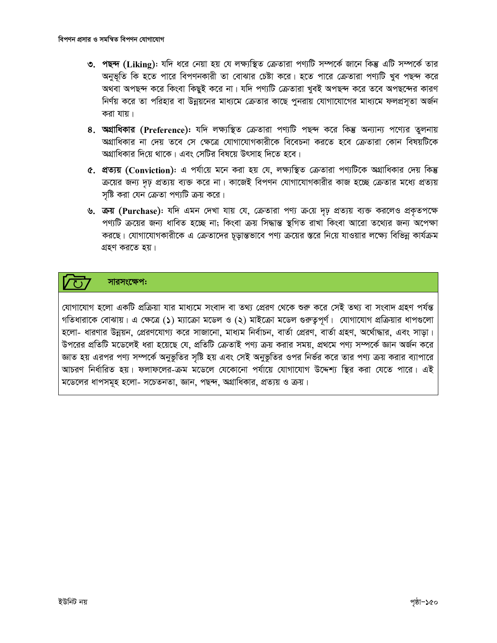- ৩. পছন্দ (Liking): যদি ধরে নেয়া হয় যে লক্ষ্যস্থিত ক্রেতারা পণ্যটি সম্পর্কে জানে কিন্তু এটি সম্পর্কে তার অনুভূতি কি হতে পারে বিপণনকারী তা বোঝার চেষ্টা করে। হতে পারে ক্রেতারা পণ্যটি খুব পছন্দ করে অথবা অপছন্দ করে কিংবা কিছুই করে না। যদি পণ্যটি ক্রেতারা খুবই অপছন্দ করে তবে অপছন্দের কারণ নির্ণয় করে তা পরিহার বা উন্নয়নের মাধ্যমে ক্রেতার কাছে পুনরায় যোগাযোগের মাধ্যমে ফলপ্রসূতা অর্জন করা যায়।
- 8. অগ্রাধিকার (Preference): যদি লক্ষ্যস্থিত ক্রেতারা পণ্যটি পছন্দ করে কিন্তু অন্যান্য পণ্যের তুলনায় অগ্রাধিকার না দেয় তবে সে ক্ষেত্রে যোগাযোগকারীকে বিবেচনা করতে হবে ক্রেতারা কোন বিষয়টিকে অগ্রাধিকার দিয়ে থাকে। এবং সেটির বিষয়ে উৎসাহ দিতে হবে।
- ৫. প্রত্যয় (Conviction): এ পর্যায়ে মনে করা হয় যে, লক্ষ্যস্থিত ক্রেতারা পণ্যটিকে অগ্রাধিকার দেয় কিন্তু ক্রয়ের জন্য দৃঢ় প্রত্যয় ব্যক্ত করে না। কাজেই বিপণন যোগাযোগকারীর কাজ হচ্ছে ক্রেতার মধ্যে প্রত্যয় সষ্টি করা যেন ক্রেতা পণ্যটি ক্রয় করে।
- ৬. ক্রয় (Purchase): যদি এমন দেখা যায় যে, ক্রেতারা পণ্য ক্রয়ে দৃঢ় প্রত্যয় ব্যক্ত করলেও প্রকৃতপক্ষে পণ্যটি ক্রয়ের জন্য ধাবিত হচ্ছে না; কিংবা ক্রয় সিদ্ধান্ত স্থগিত রাখা কিংবা আরো তথ্যের জন্য অপেক্ষা করছে। যোগাযোগকারীকে এ ক্রেতাদের চূড়ান্তভাবে পণ্য ক্রয়ের স্তরে নিয়ে যাওয়ার লক্ষ্যে বিভিন্ন কার্যক্রম গ্রহণ করতে হয়।

### সারসংক্ষেপ:

যোগাযোগ হলো একটি প্রক্রিয়া যার মাধ্যমে সংবাদ বা তথ্য প্রেরণ থেকে শুরু করে সেই তথ্য বা সংবাদ গ্রহণ পর্যন্ত গতিধারাকে বোঝায়। এ ক্ষেত্রে (১) ম্যাক্রো মডেল ও (২) মাইক্রো মডেল গুরুত্বপূর্ণ। যোগাযোগ প্রক্রিয়ার ধাপগুলো হলো- ধারণার উন্নয়ন, প্রেরণযোগ্য করে সাজানো, মাধ্যম নির্বাচন, বার্তা প্রেরণ, বার্তা গ্রহণ, অর্থোদ্ধার, এবং সাড়া। উপরের প্রতিটি মডেলেই ধরা হয়েছে যে, প্রতিটি ক্রেতাই পণ্য ক্রয় করার সময়, প্রথমে পণ্য সম্পর্কে জ্ঞান অর্জন করে জ্ঞাত হয় এরপর পণ্য সম্পর্কে অনুভুতির সৃষ্টি হয় এবং সেই অনুভুতির ওপর নির্ভর করে তার পণ্য ক্রয় করার ব্যাপারে আচরণ নির্ধারিত হয়। ফলাফলের-ক্রম মডেলে যেকোনো পর্যায়ে যোগাযোগ উদ্দেশ্য স্থির করা যেতে পারে। এই মডেলের ধাপসমূহ হলো- সচেতনতা, জ্ঞান, পছন্দ, অগ্রাধিকার, প্রত্যয় ও ক্রয়।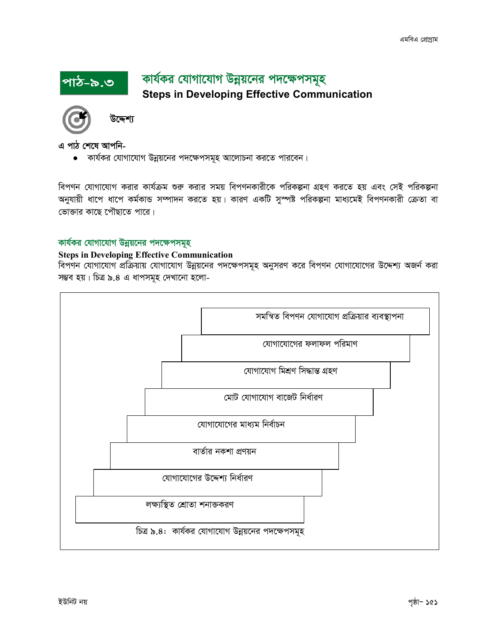## কার্যকর যোগাযোগ উন্নয়নের পদক্ষেপসমূহ **Steps in Developing Effective Communication**



উদ্দেশ্য

এ পাঠ শেষে আপনি-

পাঠ-৯.৩

• কার্যকর যোগাযোগ উন্নয়নের পদক্ষেপসমূহ আলোচনা করতে পারবেন।

বিপণন যোগাযোগ করার কার্যক্রম শুরু করার সময় বিপণনকারীকে পরিকল্পনা গ্রহণ করতে হয় এবং সেই পরিকল্পনা অনুযায়ী ধাপে ধাপে কর্মকান্ড সম্পাদন করতে হয়। কারণ একটি সুস্পষ্ট পরিকল্পনা মাধ্যমেই বিপণনকারী ক্রেতা বা ভোক্তার কাছে পৌছাতে পারে।

#### কার্যকর যোগাযোগ উন্নয়নের পদক্ষেপসমূহ

#### **Steps in Developing Effective Communication**

বিপণন যোগাযোগ প্রক্রিয়ায় যোগাযোগ উন্নয়নের পদক্ষেপসমূহ অনুসরণ করে বিপণন যোগাযোগের উদ্দেশ্য অজর্ন করা সম্ভব হয়। চিত্র ৯.৪ এ ধাপসমূহ দেখানো হলো-

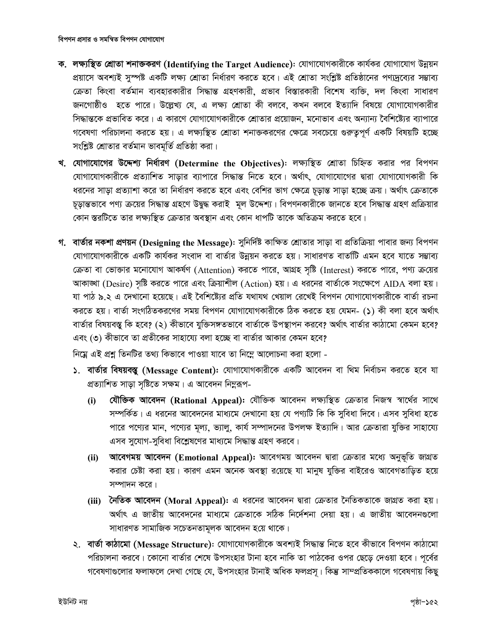- ক. লক্ষ্যস্থিত শ্ৰোতা শনাজকরণ (Identifying the Target Audience): যোগাযোগকারীকে কার্যকর যোগাযোগ উন্নয়ন প্রয়াসে অবশ্যই সুস্পষ্ট একটি লক্ষ্য শ্রোতা নির্ধারণ করতে হবে। এই শ্রোতা সংশ্লিষ্ট প্রতিষ্ঠানের পণ্যদ্রব্যের সম্ভাব্য ক্রেতা কিংবা বর্তমান ব্যবহারকারীর সিদ্ধান্ত গ্রহণকারী, প্রভাব বিস্তারকারী বিশেষ ব্যক্তি, দল কিংবা সাধারণ জনগোষ্ঠীও হতে পারে। উল্লেখ্য যে, এ লক্ষ্য শ্রোতা কী বলবে, কখন বলবে ইত্যাদি বিষয়ে যোগাযোগকারীর সিদ্ধান্তকে প্রভাবিত করে। এ কারণে যোগাযোগকারীকে শ্রোতার প্রয়োজন, মনোভাব এবং অন্যান্য বৈশিষ্ট্যের ব্যাপারে গবেষণা পরিচালনা করতে হয়। এ লক্ষ্যস্থিত শ্রোতা শনাক্তকরণের ক্ষেত্রে সবচেয়ে গুরুতুপূর্ণ একটি বিষয়টি হচ্ছে সংশ্লিষ্ট শ্রোতার বর্তমান ভাবমূর্তি প্রতিষ্ঠা করা।
- খ. যোগাযোগের উদ্দেশ্য নির্ধারণ (Determine the Objectives): লক্ষ্যস্থিত শ্রোতা চিহ্নিত করার পর বিপণন যোগাযোগকারীকে প্রত্যাশিত সাড়ার ব্যাপারে সিদ্ধান্ত নিতে হবে। অর্থাৎ, যোগাযোগের দ্বারা যোগাযোগকারী কি ধরনের সাড়া প্রত্যাশা করে তা নির্ধারণ করতে হবে এবং বেশির ভাগ ক্ষেত্রে চূড়ান্ত সাড়া হচ্ছে ক্রয়। অর্থাৎ ক্রেতাকে চূড়ান্তভাবে পণ্য ক্রয়ের সিদ্ধান্ত গ্রহণে উদ্বুদ্ধ করাই মূল উদ্দেশ্য। বিপণনকারীকে জানতে হবে সিদ্ধান্ত গ্রহণ প্রক্রিয়ার কোন স্তরটিতে তার লক্ষ্যস্থিত ক্রেতার অবস্থান এবং কোন ধাপটি তাকে অতিক্রম করতে হবে।
- গ. বার্তার নকশা প্রণয়ন (Designing the Message): সুনির্দিষ্ট কাক্ষিত শ্রোতার সাড়া বা প্রতিক্রিয়া পাবার জন্য বিপণন যোগাযোগকারীকে একটি কার্যকর সংবাদ বা বার্তার উন্নয়ন করতে হয়। সাধারণত বার্তাটি এমন হবে যাতে সম্ভাব্য ক্রেতা বা ভোক্তার মনোযোগ আকর্ষণ (Attention) করতে পারে, আগ্রহ সৃষ্টি (Interest) করতে পারে, পণ্য ক্রয়ের আকাঙ্খা (Desire) সৃষ্টি করতে পারে এবং ক্রিয়াশীল (Action) হয়। এ ধরনের বার্তাকে সংক্ষেপে AIDA বলা হয়। যা পাঠ ৯.২ এ দেখানো হয়েছে। এই বৈশিষ্ট্যের প্রতি যথাযথ খেয়াল রেখেই বিপণন যোগাযোগকারীকে বার্তা রচনা করতে হয়। বার্তা সংগঠিতকরণের সময় বিপণন যোগাযোগকারীকে ঠিক করতে হয় যেমন- (১) কী বলা হবে অর্থাৎ বার্তার বিষয়বস্তু কি হবে? (২) কীভাবে যুক্তিসঙ্গতভাবে বার্তাকে উপস্থাপন করবে? অর্থাৎ বার্তার কাঠামো কেমন হবে? এবং (৩) কীভাবে তা প্রতীকের সাহায্যে বলা হচ্ছে বা বার্তার আকার কেমন হবে?

নিম্নে এই প্রশ্ন তিনটির তথ্য কিভাবে পাওয়া যাবে তা নিম্নে আলোচনা করা হলো -

- ১. বাৰ্তার বিষয়বস্তু (Message Content): যোগাযোগকারীকে একটি আবেদন বা থিম নির্বাচন করতে হবে যা প্রত্যাশিত সাড়া সৃষ্টিতে সক্ষম। এ আবেদন নিমুরূপ-
	- যৌক্তিক আবেদন (Rational Appeal): যৌক্তিক আবেদন লক্ষ্যস্থিত ক্ৰেতার নিজস্ব স্বার্থের সাথে  $(i)$ সম্পর্কিত। এ ধরনের আবেদনের মাধ্যমে দেখানো হয় যে পণ্যটি কি কি সুবিধা দিবে। এসব সুবিধা হতে পারে পণ্যের মান, পণ্যের মূল্য, ভ্যালু, কার্য সম্পাদনের উপলক্ষ ইত্যাদি। আর ক্রেতারা যুক্তির সাহায্যে এসব সুযোগ-সুবিধা বিশ্লেষণের মাধ্যমে সিদ্ধান্ত গ্রহণ করবে।
	- আবেগময় আবেদন (Emotional Appeal): আবেগময় আবেদন দ্বারা ক্রেতার মধ্যে অনুভূতি জাগ্রত  $(ii)$ করার চেষ্টা করা হয়। কারণ এমন অনেক অবস্থা রয়েছে যা মানুষ যুক্তির বাইরেও আবেগতাড়িত হয়ে সম্পাদন করে।
	- (iii) নৈতিক আবেদন (Moral Appeal): এ ধরনের আবেদন দ্বারা ক্রেতার নৈতিকতাকে জাগ্রত করা হয়। অর্থাৎ এ জাতীয় আবেদনের মাধ্যমে ক্রেতাকে সঠিক নির্দেশনা দেয়া হয়। এ জাতীয় আবেদনগুলো সাধারণত সামাজিক সচেতনতামূলক আবেদন হয়ে থাকে।
- ২. বাৰ্তা কাঠামো (Message Structure): যোগাযোগকারীকে অবশ্যই সিদ্ধান্ত নিতে হবে কীভাবে বিপণন কাঠামো পরিচালনা করবে। কোনো বার্তার শেষে উপসংহার টানা হবে নাকি তা পাঠকের ওপর ছেড়ে দেওয়া হবে। পূর্বের গবেষণাগুলোর ফলাফলে দেখা গেছে যে, উপসংহার টানাই অধিক ফলপ্রস্য। কিন্তু সাম্প্রতিককালে গবেষণায় কিছু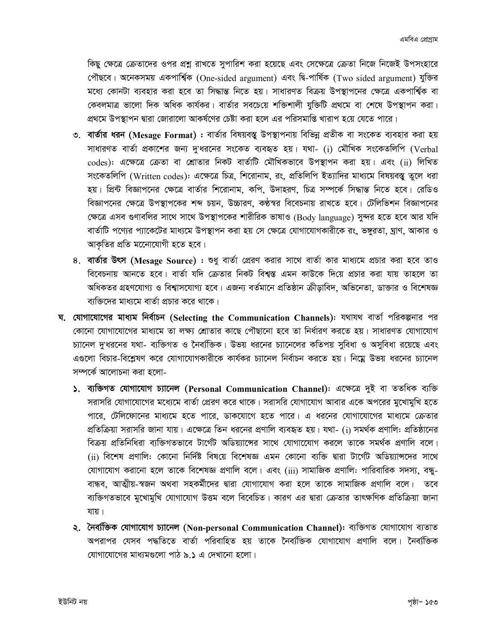কিছু ক্ষেত্রে ক্রেতাদের ওপর প্রশ্ন রাখতে সুপারিশ করা হয়েছে এবং সেক্ষেত্রে ক্রেতা নিজে নিজেই উপসংহারে পৌছবে। অনেকসময় একপাৰ্শ্বিক (One-sided argument) এবং দ্বি-পাৰ্ষিক (Two sided argument) যুক্তির মধ্যে কোনটা ব্যবহার করা হবে তা সিদ্ধান্ত নিতে হয়। সাধারণত বিক্রয় উপস্থাপনের ক্ষেত্রে একপার্শ্বিক বা কেবলমাত্র ভালো দিক অধিক কার্যকর। বার্তার সবচেয়ে শক্তিশালী যুক্তিটি প্রথমে বা শেষে উপস্থাপন করা। প্রথমে উপস্থাপন দ্বারা জোরালো আকর্ষণের চেষ্টা করা হলে এর পরিসমাপ্তি খারাপ হয়ে যেতে পারে।

- ৩. বার্তার ধরন (Mesage Format) : বার্তার বিষয়বস্তু উপস্থাপনায় বিভিন্ন প্রতীক বা সংকেত ব্যবহার করা হয় সাধারণত বার্তা প্রকাশের জন্য দু'ধরনের সংকেত ব্যবহৃত হয়। যথা- (i) মৌখিক সংকেতলিপি (Verbal codes): এক্ষেত্রে ক্রেতা বা শ্রোতার নিকট বার্তাটি মৌখিকভাবে উপস্থাপন করা হয়। এবং (ii) লিখিত সংকেতলিপি (Written codes): এক্ষেত্রে চিত্র, শিরোনাম, রং, প্রতিলিপি ইত্যাদির মাধ্যমে বিষয়বস্তু তুলে ধরা হয়। প্রিন্ট বিজ্ঞাপনের ক্ষেত্রে বার্তার শিরোনাম, কপি, উদাহরণ, চিত্র সম্পর্কে সিদ্ধান্ত নিতে হবে। রেডিও বিজ্ঞাপনের ক্ষেত্রে উপস্থাপকের শব্দ চয়ন, উচ্চারণ, কণ্ঠস্বর বিবেচনায় রাখতে হবে। টেলিভিশন বিজ্ঞাপনের ক্ষেত্রে এসব গুণাবলির সাথে সাথে উপস্থাপকের শারীরিক ভাষাও (Body language) সুন্দর হতে হবে আর যদি বার্তাটি পণ্যের প্যাকেটের মাধ্যমে উপস্থাপন করা হয় সে ক্ষেত্রে যোগাযোগকারীকে রং, ভঙ্গুরতা, ঘ্রাণ, আকার ও আকৃতির প্রতি মনোেযোগী হতে হবে।
- ৪. বার্তার উৎস (Mesage Source) : শুধু বার্তা প্রেরণ করার সাথে বার্তা কার মাধ্যমে প্রচার করা হবে তাও বিবেচনায় আনতে হবে। বার্তা যদি ক্রেতার নিকট বিশ্বস্ত এমন কাউকে দিয়ে প্রচার করা যায় তাহলে তা অধিকতর গ্রহণযোগ্য ও বিশ্বাসযোগ্য হবে। এজন্য বর্তমানে প্রতিষ্ঠান ক্রীডাবিদ, অভিনেতা, ডাক্তার ও বিশেষজ্ঞ ব্যক্তিদের মাধ্যমে বার্তা প্রচার করে থাকে।
- ঘ. যোগাযোগের মাধ্যম নির্বাচন (Selecting the Communication Channels): যথাযথ বার্তা পরিকল্পনার পর কোনো যোগাযোগের মাধ্যমে তা লক্ষ্য শ্রোতার কাছে পৌছানো হবে তা নির্ধারণ করতে হয়। সাধারণত যোগাযোগ চ্যানেল দুখরনের যথা- ব্যক্তিগত ও নৈব্যক্তিক। উভয় ধরনের চ্যানেলের কতিপয় সুবিধা ও অসুবিধা রয়েছে এবং এগুলো বিচার-বিশ্লেষণ করে যোগাযোগকারীকে কার্যকর চ্যানেল নির্বাচন করতে হয়। নিম্নে উভয় ধরনের চ্যানেল সম্পৰ্কে আলোচনা কৱা হলো-
	- ১. ব্যক্তিগত যোগাযোগ চ্যানেল (Personal Communication Channel): এক্ষেত্রে দুই বা ততধিক ব্যক্তি সরাসরি যোগাযোগের মধ্যেমে বার্তা প্রেরণ করে থাকে। সরাসরি যোগাযোগ আবার একে অপরের মুখোমুখি হতে পারে, টেলিফোনের মাধ্যমে হতে পারে, ডাকযোগে হতে পারে। এ ধরনের যোগাযোগের মাধ্যমে ক্রেতার প্রতিক্রিয়া সরাসরি জানা যায়। এক্ষেত্রে তিন ধরনের প্রণালি ব্যবহৃত হয়। যথা- (i) সমর্থক প্রণালি: প্রতিষ্ঠানের বিক্রয় প্রতিনিধিরা ব্যক্তিগতভাবে টার্গেট অডিয়্যান্সের সাথে যোগাযোেগ করলে তাকে সমর্থক প্রণালি বলে। (ii) বিশেষ প্রণালি: কোনো নির্দিষ্ট বিষয়ে বিশেষজ্ঞ এমন কোনো ব্যক্তি দ্বারা টার্গেট অডিয়্যান্সদের সাথে যোগাযোগ করানো হলে তাকে বিশেষজ্ঞ প্রণালি বলে। এবং (iii) সামাজিক প্রণালি: পারিবারিক সদস্য, বন্ধ-বান্ধব, আত্মীয়-স্বজন অথবা সহকর্মীদের দ্বারা যোগাযোগ করা হলে তাকে সামাজিক প্রণালি বলে। তবে ব্যক্তিগতভাবে মুখোমুখি যোগাযোগ উত্তম বলে বিবেচিত। কারণ এর দ্বারা ক্রেতার তাৎক্ষণিক প্রতিক্রিয়া জানা যায়।
	- ২. নৈৰ্ব্যক্তিক যোগাযোগ চ্যানেল (Non-personal Communication Channel): ব্যক্তিগত যোগাযোগ ব্যতাত অপরাপর যেসব পদ্ধতিতে বার্তা পরিবাহিত হয় তাকে নৈর্ব্যক্তিক যোগাযোগ প্রণালি বলে। নৈর্ব্যক্তিক যোগাযোগের মাধ্যমগুলো পাঠ ৯.১ এ দেখানো হলো।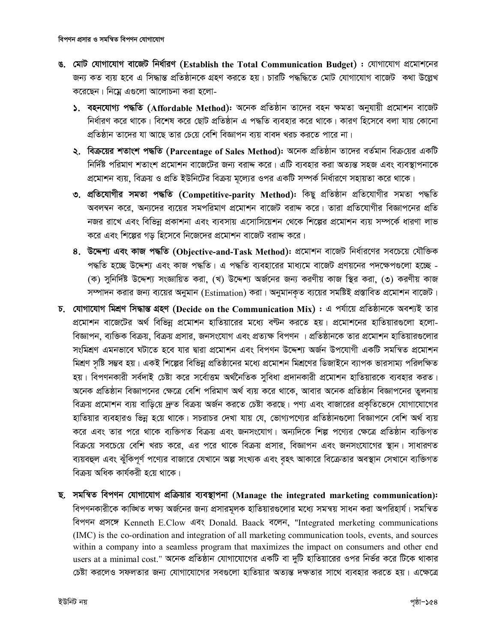- ঙ. মোট যোগাযোগ বাজেট নিৰ্ধারণ (Establish the Total Communication Budget) : যোগাযোগ প্রমোশনের জন্য কত ব্যয় হবে এ সিদ্ধান্ত প্রতিষ্ঠানকে গ্রহণ করতে হয়। চারটি পদ্ধদ্ধিতে মোট যোগাযোগ বাজেট কথা উল্লেখ করেছেন। নিয়ে এগুলো আলোচনা করা হলো-
	- ১. বহনযোগ্য পদ্ধতি (Affordable Method): অনেক প্ৰতিষ্ঠান তাদের বহন ক্ষমতা অনুযায়ী প্ৰমোশন বাজেট নির্ধারণ করে থাকে। বিশেষ করে ছোট প্রতিষ্ঠান এ পদ্ধতি ব্যবহার করে থাকে। কারণ হিসেবে বলা যায় কোনো প্রতিষ্ঠান তাদের যা আছে তার চেয়ে বেশি বিজ্ঞাপন ব্যয় বাবদ খরচ করতে পারে না।
	- ২. বিক্রয়ের শতাংশ পদ্ধতি (Parcentage of Sales Method): অনেক প্রতিষ্ঠান তাদের বর্তমান বিক্রয়ের একটি নির্দিষ্ট পরিমাণ শতাংশ প্রমোশন বাজেটের জন্য বরাদ্দ করে। এটি ব্যবহার করা অত্যন্ত সহজ এবং ব্যবস্থাপনাকে প্রমোশন ব্যয়, বিক্রয় ও প্রতি ইউনিটের বিক্রয় মূল্যের ওপর একটি সম্পর্ক নির্ধারণে সহায়তা করে থাকে।
	- ৩. প্ৰতিযোগীর সমতা পদ্ধতি (Competitive-parity Method): কিছু প্ৰতিষ্ঠান প্ৰতিযোগীর সমতা পদ্ধতি অবলম্বন করে, অন্যদের ব্যয়ের সমপরিমাণ প্রমোশন বাজেট বরাদ্দ করে। তারা প্রতিযোগীর বিজ্ঞাপনের প্রতি নজর রাখে এবং বিভিন্ন প্রকাশনা এবং ব্যবসায় এসোসিয়েশন থেকে শিল্পের প্রমোশন ব্যয় সম্পর্কে ধারণা লাভ করে এবং শিল্পের গড় হিসেবে নিজেদের প্রমোশন বাজেট বরাদ্দ করে।
	- ৪. উদ্দেশ্য এবং কাজ পদ্ধতি (Objective-and-Task Method): প্রমোশন বাজেট নির্ধারণের সবচেয়ে যৌক্তিক পদ্ধতি হচ্ছে উদ্দেশ্য এবং কাজ পদ্ধতি। এ পদ্ধতি ব্যবহারের মাধ্যমে বাজেট প্রণয়নের পদক্ষেপগুলো হচ্ছে -(ক) সুনির্দিষ্ট উদ্দেশ্য সংজ্ঞায়িত করা, (খ) উদ্দেশ্য অর্জনের জন্য করণীয় কাজ স্থির করা, (৩) করণীয় কাজ সম্পাদন করার জন্য ব্যয়ের অনুমান (Estimation) করা। অনুমানকৃত ব্যয়ের সমষ্টিই প্রস্তাবিত প্রমোশন বাজেট।
- চ. যোগাযোগ মিশ্ৰণ সিদ্ধান্ত গ্ৰহণ (Decide on the Communication Mix) : এ পৰ্যায়ে প্ৰতিষ্ঠানকে অবশ্যই তার প্রমোশন বাজেটের অর্থ বিভিন্ন প্রমোশন হাতিয়ারের মধ্যে বণ্টন করতে হয়। প্রমোশনের হাতিয়ারগুলো হলো-বিজ্ঞাপন, ব্যক্তিক বিক্রয়, বিক্রয় প্রসার, জনসংযোগ এবং প্রত্যক্ষ বিপণন । প্রতিষ্ঠানকে তার প্রমোশন হাতিয়ারগুলোর সংমিশ্রণ এমনভাবে ঘটাতে হবে যার দ্বারা প্রমোশন এবং বিপণন উদ্দেশ্য অর্জন উপযোগী একটি সমন্বিত প্রমোশন মিশ্রণ সৃষ্টি সম্ভব হয়। একই শিল্পের বিভিন্ন প্রতিষ্ঠানের মধ্যে প্রমোশন মিশ্রণের ডিজাইনে ব্যাপক ভারসাম্য পরিলক্ষিত হয়। বিপণনকারী সর্বদাই চেষ্টা করে সর্বোত্তম অর্থনৈতিক সুবিধা প্রদানকারী প্রমোশন হাতিয়ারকে ব্যবহার করত। অনেক প্রতিষ্ঠান বিজ্ঞাপনের ক্ষেত্রে বেশি পরিমাণ অর্থ ব্যয় করে থাকে, আবার অনেক প্রতিষ্ঠান বিজ্ঞাপনের তুলনায় বিক্রয় প্রমোশন ব্যয় বাড়িয়ে দ্রুত বিক্রয় অর্জন করতে চেষ্টা করছে। পণ্য এবং বাজারের প্রকৃতিভেদে যোগাযোগের হাতিয়ার ব্যবহারও ভিন্ন হয়ে থাকে। সচরাচর দেখা যায় যে, ভোগ্যপণ্যের প্রতিষ্ঠানগুলো বিজ্ঞাপনে বেশি অর্থ ব্যয় করে এবং তার পরে থাকে ব্যক্তিগত বিক্রয় এবং জনসংযোগ। অন্যদিকে শিল্প পণ্যের ক্ষেত্রে প্রতিষ্ঠান ব্যক্তিগত বিক্রয়ে সবচেয়ে বেশি খরচ করে, এর পরে থাকে বিক্রয় প্রসার, বিজ্ঞাপন এবং জনসংযোগের স্থান। সাধারণত ব্যয়বহুল এবং ঝুঁকিপূর্ণ পণ্যের বাজারে যেখানে অল্প সংখ্যক এবং বৃহৎ আকারে বিক্রেতার অবস্থান সেখানে ব্যক্তিগত বিক্ৰয অধিক কাৰ্যকৰী হ⁄য থাকে ।
- ছ. সমন্বিত বিপণন যোগাযোগ প্ৰক্ৰিয়ার ব্যবস্থাপনা (Manage the integrated marketing communication): বিপণনকারীকে কাঙ্খিত লক্ষ্য অর্জনের জন্য প্রসারমূলক হাতিয়ারগুলোর মধ্যে সমন্বয় সাধন করা অপরিহার্য। সমন্বিত বিপণন প্ৰসঙ্গে Kenneth E.Clow এবং Donald. Baack বলেন, "Integrated merketing communications (IMC) is the co-ordination and integration of all marketing communication tools, events, and sources within a company into a seamless program that maximizes the impact on consumers and other end users at a minimal cost." অনেক প্রতিষ্ঠান যোগাযোগের একটি বা দুটি হাতিয়ারের ওপর নির্ভর করে টিকে থাকার চেষ্টা করলেও সফলতার জন্য যোগাযোগের সবগুলো হাতিয়ার অত্যন্ত দক্ষতার সাথে ব্যবহার করতে হয়। এক্ষেত্রে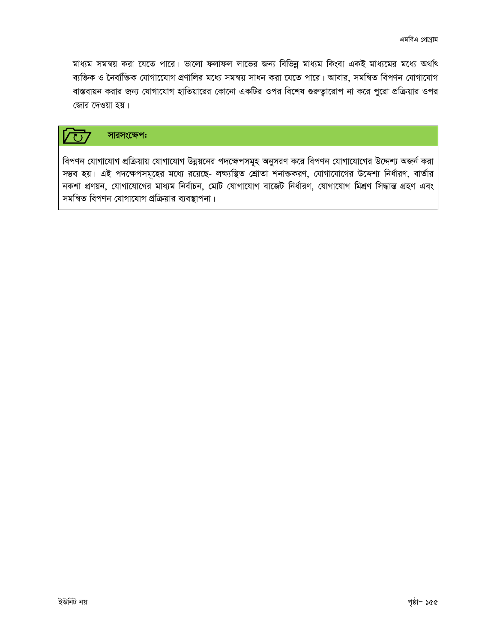মাধ্যম সমন্বয় করা যেতে পারে। ভালো ফলাফল লাভের জন্য বিভিন্ন মাধ্যম কিংবা একই মাধ্যমের মধ্যে অর্থাৎ ব্যক্তিক ও নৈৰ্ব্যক্তিক যোগাযোেগ প্ৰণালির মধ্যে সমন্বয় সাধন করা যেতে পারে। আবার, সমন্বিত বিপণন যোগাযোগ বাস্তবায়ন করার জন্য যোগাযোগ হাতিয়ারের কোনো একটির ওপর বিশেষ গুরুত্বারোপ না করে পুরো প্রক্রিয়ার ওপর জোর দেওয়া হয়।

#### সারসংক্ষেপ:  $\zeta$

বিপণন যোগাযোগ প্রক্রিয়ায় যোগাযোগ উন্নয়নের পদক্ষেপসমূহ অনুসরণ করে বিপণন যোগাযোগের উদ্দেশ্য অজর্ন করা সম্ভব হয়। এই পদক্ষেপসমূহের মধ্যে রয়েছে- লক্ষ্যস্থিত শ্রোতা শনাক্তকরণ, যোগাযোগের উদ্দেশ্য নির্ধারণ, বার্তার নকশা প্ৰণয়ন, যোগাযোগের মাধ্যম নির্বাচন, মোট যোগাযোগ বাজেট নির্ধারণ, যোগাযোগ মিশ্রণ সিদ্ধান্ত গ্রহণ এবং সমন্বিত বিপণন যোগাযোগ প্রক্রিয়ার ব্যবস্থাপনা।